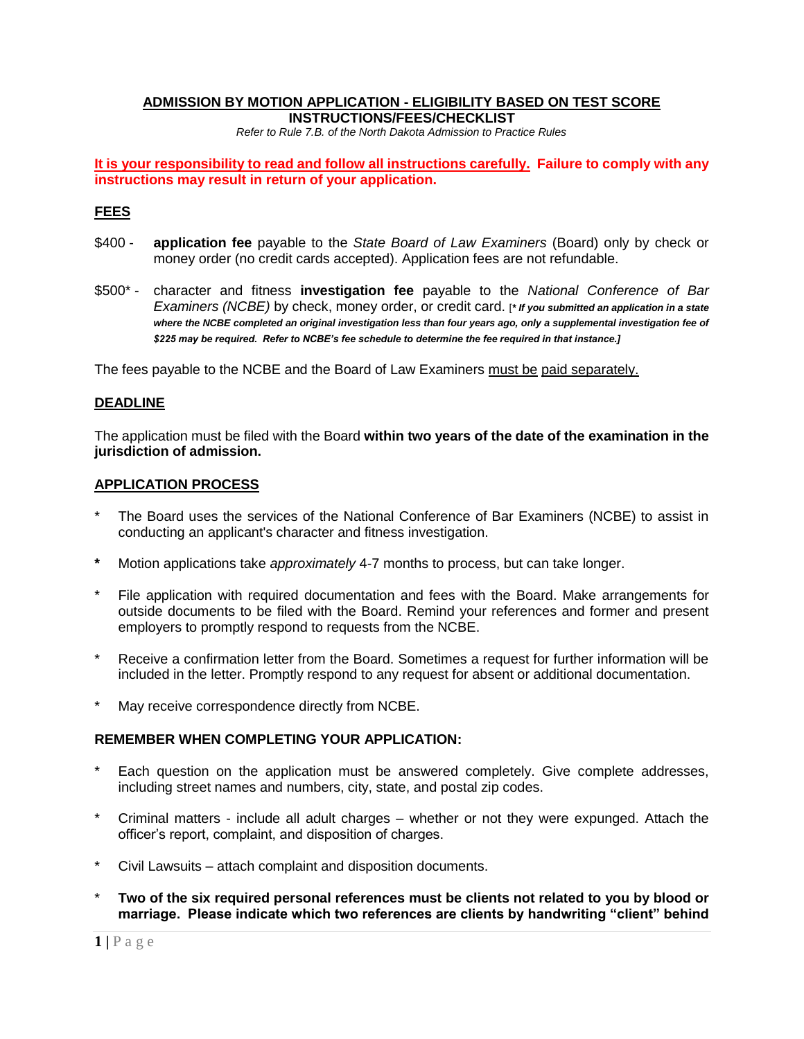#### **ADMISSION BY MOTION APPLICATION - ELIGIBILITY BASED ON TEST SCORE INSTRUCTIONS/FEES/CHECKLIST**

*Refer to Rule 7.B. of the North Dakota Admission to Practice Rules*

**It is your responsibility to read and follow all instructions carefully. Failure to comply with any instructions may result in return of your application.** 

### **FEES**

- \$400 **application fee** payable to the *State Board of Law Examiners* (Board) only by check or money order (no credit cards accepted). Application fees are not refundable.
- \$500\* character and fitness **investigation fee** payable to the *National Conference of Bar Examiners (NCBE)* by check, money order, or credit card. [*\* If you submitted an application in a state where the NCBE completed an original investigation less than four years ago, only a supplemental investigation fee of \$225 may be required. Refer to NCBE's fee schedule to determine the fee required in that instance.]*

The fees payable to the NCBE and the Board of Law Examiners must be paid separately.

#### **DEADLINE**

The application must be filed with the Board **within two years of the date of the examination in the jurisdiction of admission.** 

#### **APPLICATION PROCESS**

- The Board uses the services of the National Conference of Bar Examiners (NCBE) to assist in conducting an applicant's character and fitness investigation.
- **\*** Motion applications take *approximately* 4-7 months to process, but can take longer.
- File application with required documentation and fees with the Board. Make arrangements for outside documents to be filed with the Board. Remind your references and former and present employers to promptly respond to requests from the NCBE.
- Receive a confirmation letter from the Board. Sometimes a request for further information will be included in the letter. Promptly respond to any request for absent or additional documentation.
- May receive correspondence directly from NCBE.

#### **REMEMBER WHEN COMPLETING YOUR APPLICATION:**

- Each question on the application must be answered completely. Give complete addresses, including street names and numbers, city, state, and postal zip codes.
- Criminal matters include all adult charges whether or not they were expunged. Attach the officer's report, complaint, and disposition of charges.
- Civil Lawsuits attach complaint and disposition documents.
- \* **Two of the six required personal references must be clients not related to you by blood or marriage. Please indicate which two references are clients by handwriting "client" behind**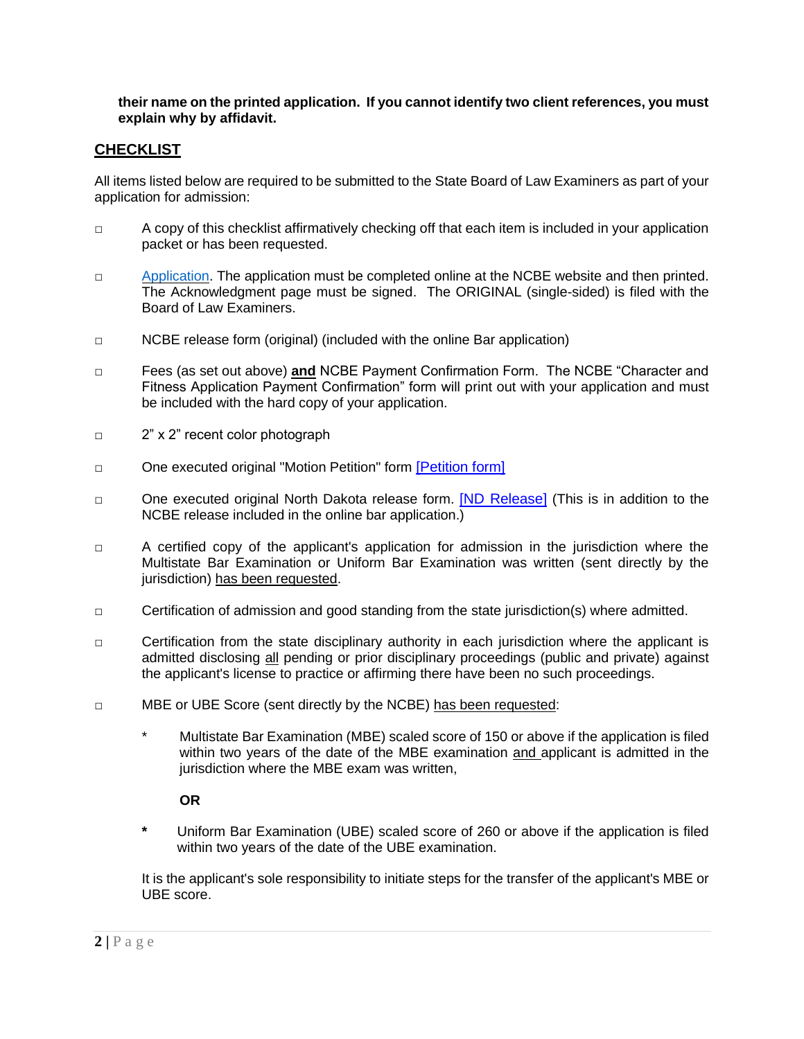## **their name on the printed application. If you cannot identify two client references, you must explain why by affidavit.**

# **CHECKLIST**

All items listed below are required to be submitted to the State Board of Law Examiners as part of your application for admission:

- □ A copy of this checklist affirmatively checking off that each item is included in your application packet or has been requested.
- □ [Application.](http://www.ncbex.org/character-and-fitness) The application must be completed online at the NCBE website and then printed. The Acknowledgment page must be signed. The ORIGINAL (single-sided) is filed with the Board of Law Examiners.
- □ NCBE release form (original) (included with the online Bar application)
- □ Fees (as set out above) **and** NCBE Payment Confirmation Form. The NCBE "Character and Fitness Application Payment Confirmation" form will print out with your application and must be included with the hard copy of your application.
- □ 2" x 2" recent color photograph
- □ One executed original "Motion Petition" form [\[Petition form\]](https://www.ndcourts.gov/Media/Default/Committees/BoardOfLawExaminers/Motion%20Petition.pdf)
- □ One executed original North Dakota release form. [\[ND Release\]](https://www.ndcourts.gov/Media/Default/Committees/BoardOfLawExaminers/Release-general.pdf) (This is in addition to the NCBE release included in the online bar application.)
- □ A certified copy of the applicant's application for admission in the jurisdiction where the Multistate Bar Examination or Uniform Bar Examination was written (sent directly by the jurisdiction) has been requested.
- $\Box$  Certification of admission and good standing from the state jurisdiction(s) where admitted.
- □ Certification from the state disciplinary authority in each jurisdiction where the applicant is admitted disclosing all pending or prior disciplinary proceedings (public and private) against the applicant's license to practice or affirming there have been no such proceedings.
- □ MBE or UBE Score (sent directly by the NCBE) has been requested:
	- Multistate Bar Examination (MBE) scaled score of 150 or above if the application is filed within two years of the date of the MBE examination and applicant is admitted in the jurisdiction where the MBE exam was written,

## **OR**

**\*** Uniform Bar Examination (UBE) scaled score of 260 or above if the application is filed within two years of the date of the UBE examination.

It is the applicant's sole responsibility to initiate steps for the transfer of the applicant's MBE or UBE score.